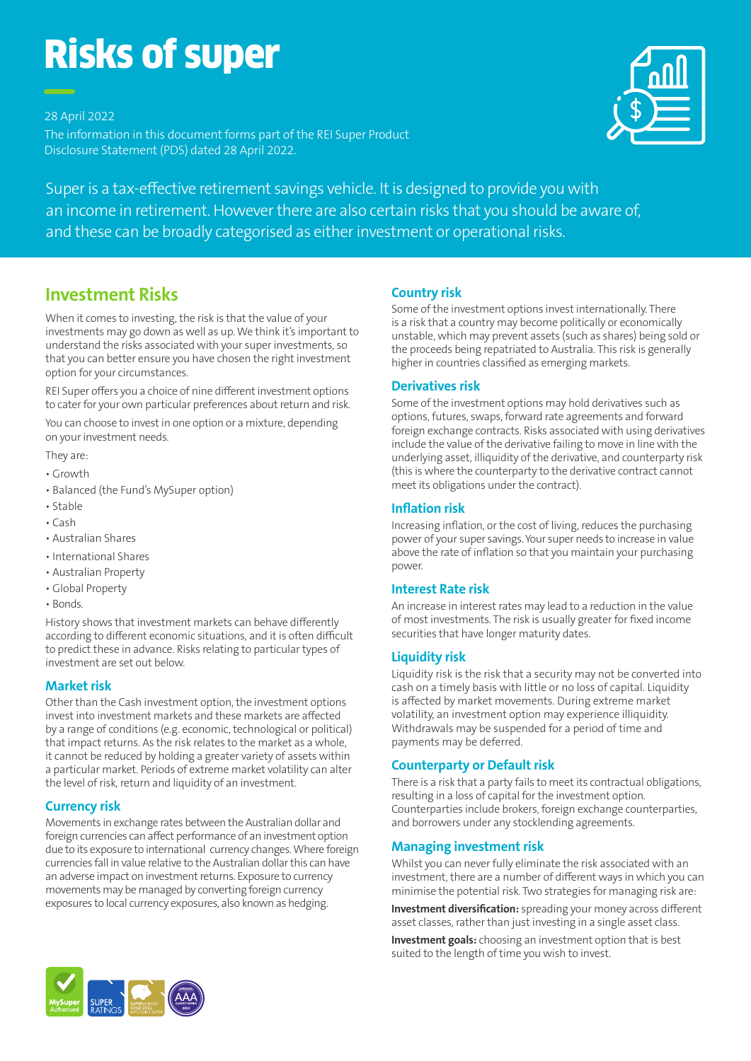# Risks of super

28 April 2022

The information in this document forms part of the REI Super Product Disclosure Statement (PDS) dated 28 April 2022.



Super is a tax-effective retirement savings vehicle. It is designed to provide you with an income in retirement. However there are also certain risks that you should be aware of, and these can be broadly categorised as either investment or operational risks.

# **Investment Risks**

When it comes to investing, the risk is that the value of your investments may go down as well as up. We think it's important to understand the risks associated with your super investments, so that you can better ensure you have chosen the right investment option for your circumstances.

REI Super offers you a choice of nine different investment options to cater for your own particular preferences about return and risk.

You can choose to invest in one option or a mixture, depending on your investment needs.

They are:

- Growth
- Balanced (the Fund's MySuper option)
- Stable
- Cash
- Australian Shares
- International Shares
- Australian Property
- Global Property
- Bonds.

History shows that investment markets can behave differently according to different economic situations, and it is often difficult to predict these in advance. Risks relating to particular types of investment are set out below.

## **Market risk**

Other than the Cash investment option, the investment options invest into investment markets and these markets are affected by a range of conditions (e.g. economic, technological or political) that impact returns. As the risk relates to the market as a whole, it cannot be reduced by holding a greater variety of assets within a particular market. Periods of extreme market volatility can alter the level of risk, return and liquidity of an investment.

## **Currency risk**

Movements in exchange rates between the Australian dollar and foreign currencies can affect performance of an investment option due to its exposure to international currency changes. Where foreign currencies fall in value relative to the Australian dollar this can have an adverse impact on investment returns. Exposure to currency movements may be managed by converting foreign currency exposures to local currency exposures, also known as hedging.

## **Country risk**

Some of the investment options invest internationally. There is a risk that a country may become politically or economically unstable, which may prevent assets (such as shares) being sold or the proceeds being repatriated to Australia. This risk is generally higher in countries classified as emerging markets.

### **Derivatives risk**

Some of the investment options may hold derivatives such as options, futures, swaps, forward rate agreements and forward foreign exchange contracts. Risks associated with using derivatives include the value of the derivative failing to move in line with the underlying asset, illiquidity of the derivative, and counterparty risk (this is where the counterparty to the derivative contract cannot meet its obligations under the contract).

#### **Inflation risk**

Increasing inflation, or the cost of living, reduces the purchasing power of your super savings. Your super needs to increase in value above the rate of inflation so that you maintain your purchasing power.

#### **Interest Rate risk**

An increase in interest rates may lead to a reduction in the value of most investments. The risk is usually greater for fixed income securities that have longer maturity dates.

#### **Liquidity risk**

Liquidity risk is the risk that a security may not be converted into cash on a timely basis with little or no loss of capital. Liquidity is affected by market movements. During extreme market volatility, an investment option may experience illiquidity. Withdrawals may be suspended for a period of time and payments may be deferred.

#### **Counterparty or Default risk**

There is a risk that a party fails to meet its contractual obligations, resulting in a loss of capital for the investment option. Counterparties include brokers, foreign exchange counterparties, and borrowers under any stocklending agreements.

#### **Managing investment risk**

Whilst you can never fully eliminate the risk associated with an investment, there are a number of different ways in which you can minimise the potential risk. Two strategies for managing risk are:

**Investment diversification:** spreading your money across different asset classes, rather than just investing in a single asset class.

**Investment goals:** choosing an investment option that is best suited to the length of time you wish to invest.